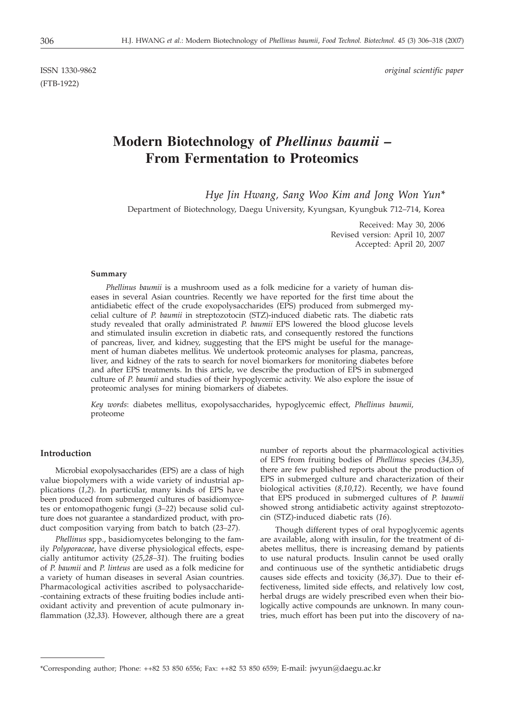(FTB-1922)

ISSN 1330-9862 *original scientific paper*

# **Modern Biotechnology of** *Phellinus baumii –* **From Fermentation to Proteomics**

*Hye Jin Hwang, Sang Woo Kim and Jong Won Yun\**

Department of Biotechnology, Daegu University, Kyungsan, Kyungbuk 712–714, Korea

Received: May 30, 2006 Revised version: April 10, 2007 Accepted: April 20, 2007

#### **Summary**

*Phellinus baumii* is a mushroom used as a folk medicine for a variety of human diseases in several Asian countries. Recently we have reported for the first time about the antidiabetic effect of the crude exopolysaccharides (EPS) produced from submerged mycelial culture of *P. baumii* in streptozotocin (STZ)-induced diabetic rats. The diabetic rats study revealed that orally administrated *P. baumii* EPS lowered the blood glucose levels and stimulated insulin excretion in diabetic rats, and consequently restored the functions of pancreas, liver, and kidney, suggesting that the EPS might be useful for the management of human diabetes mellitus. We undertook proteomic analyses for plasma, pancreas, liver, and kidney of the rats to search for novel biomarkers for monitoring diabetes before and after EPS treatments. In this article, we describe the production of EPS in submerged culture of *P. baumii* and studies of their hypoglycemic activity. We also explore the issue of proteomic analyses for mining biomarkers of diabetes.

*Key words*: diabetes mellitus, exopolysaccharides, hypoglycemic effect, *Phellinus baumii*, proteome

## **Introduction**

Microbial exopolysaccharides (EPS) are a class of high value biopolymers with a wide variety of industrial applications (*1,2*). In particular, many kinds of EPS have been produced from submerged cultures of basidiomycetes or entomopathogenic fungi (*3–22*) because solid culture does not guarantee a standardized product, with product composition varying from batch to batch (*23–27*).

*Phellinus* spp., basidiomycetes belonging to the family *Polyporaceae*, have diverse physiological effects, especially antitumor activity (*25,28–31*). The fruiting bodies of *P. baumii* and *P. linteus* are used as a folk medicine for a variety of human diseases in several Asian countries. Pharmacological activities ascribed to polysaccharide- -containing extracts of these fruiting bodies include antioxidant activity and prevention of acute pulmonary inflammation (*32,33*)*.* However, although there are a great number of reports about the pharmacological activities of EPS from fruiting bodies of *Phellinus* species (*34,35*), there are few published reports about the production of EPS in submerged culture and characterization of their biological activities (*8,10,12*). Recently, we have found that EPS produced in submerged cultures of *P. baumii* showed strong antidiabetic activity against streptozotocin (STZ)-induced diabetic rats (*16*).

Though different types of oral hypoglycemic agents are available, along with insulin, for the treatment of diabetes mellitus, there is increasing demand by patients to use natural products. Insulin cannot be used orally and continuous use of the synthetic antidiabetic drugs causes side effects and toxicity (*36,37*). Due to their effectiveness, limited side effects, and relatively low cost, herbal drugs are widely prescribed even when their biologically active compounds are unknown. In many countries, much effort has been put into the discovery of na-

<sup>\*</sup>Corresponding author; Phone: ++82 53 850 6556; Fax: ++82 53 850 6559; E-mail: jwyun*@*daegu.ac.kr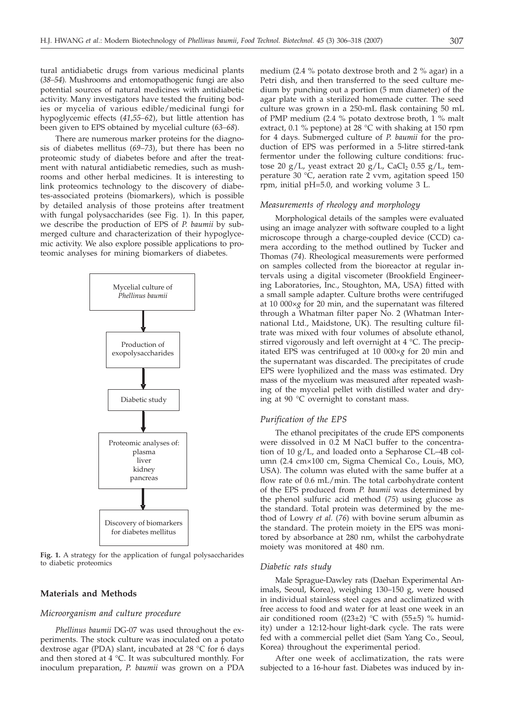tural antidiabetic drugs from various medicinal plants (*38–54*). Mushrooms and entomopathogenic fungi are also potential sources of natural medicines with antidiabetic activity. Many investigators have tested the fruiting bodies or mycelia of various edible/medicinal fungi for hypoglycemic effects (*41,55–62*), but little attention has been given to EPS obtained by mycelial culture (*63–68*).

There are numerous marker proteins for the diagnosis of diabetes mellitus (*69–73*), but there has been no proteomic study of diabetes before and after the treatment with natural antidiabetic remedies, such as mushrooms and other herbal medicines. It is interesting to link proteomics technology to the discovery of diabetes-associated proteins (biomarkers), which is possible by detailed analysis of those proteins after treatment with fungal polysaccharides (see Fig. 1). In this paper, we describe the production of EPS of *P. baumii* by submerged culture and characterization of their hypoglycemic activity. We also explore possible applications to proteomic analyses for mining biomarkers of diabetes.



**Fig. 1.** A strategy for the application of fungal polysaccharides to diabetic proteomics

## **Materials and Methods**

#### *Microorganism and culture procedure*

*Phellinus baumii* DG-07 was used throughout the experiments. The stock culture was inoculated on a potato dextrose agar (PDA) slant, incubated at 28 °C for 6 days and then stored at 4 °C. It was subcultured monthly. For inoculum preparation, *P. baumii* was grown on a PDA medium (2.4 % potato dextrose broth and 2 % agar) in a Petri dish, and then transferred to the seed culture medium by punching out a portion (5 mm diameter) of the agar plate with a sterilized homemade cutter. The seed culture was grown in a 250-mL flask containing 50 mL of PMP medium (2.4 % potato dextrose broth, 1 % malt extract, 0.1 % peptone) at 28 °C with shaking at 150 rpm for 4 days. Submerged culture of *P. baumii* for the production of EPS was performed in a 5-litre stirred-tank fermentor under the following culture conditions: fructose 20 g/L, yeast extract 20 g/L, CaCl, 0.55 g/L, temperature 30 °C, aeration rate 2 vvm, agitation speed 150 rpm, initial pH=5.0, and working volume 3 L.

# *Measurements of rheology and morphology*

Morphological details of the samples were evaluated using an image analyzer with software coupled to a light microscope through a charge-coupled device (CCD) camera according to the method outlined by Tucker and Thomas (*74*). Rheological measurements were performed on samples collected from the bioreactor at regular intervals using a digital viscometer (Brookfield Engineering Laboratories, Inc., Stoughton, MA, USA) fitted with a small sample adapter. Culture broths were centrifuged at 10 000×*g* for 20 min, and the supernatant was filtered through a Whatman filter paper No. 2 (Whatman International Ltd., Maidstone, UK). The resulting culture filtrate was mixed with four volumes of absolute ethanol, stirred vigorously and left overnight at 4 °C. The precipitated EPS was centrifuged at 10 000×*g* for 20 min and the supernatant was discarded. The precipitates of crude EPS were lyophilized and the mass was estimated. Dry mass of the mycelium was measured after repeated washing of the mycelial pellet with distilled water and drying at 90 °C overnight to constant mass.

#### *Purification of the EPS*

The ethanol precipitates of the crude EPS components were dissolved in 0.2 M NaCl buffer to the concentration of 10 g/L, and loaded onto a Sepharose CL–4B column (2.4 cm×100 cm, Sigma Chemical Co., Louis, MO, USA). The column was eluted with the same buffer at a flow rate of 0.6 mL/min. The total carbohydrate content of the EPS produced from *P. baumii* was determined by the phenol sulfuric acid method (*75*) using glucose as the standard. Total protein was determined by the method of Lowry *et al.* (*76*) with bovine serum albumin as the standard. The protein moiety in the EPS was monitored by absorbance at 280 nm, whilst the carbohydrate moiety was monitored at 480 nm.

#### *Diabetic rats study*

Male Sprague-Dawley rats (Daehan Experimental Animals, Seoul, Korea), weighing 130–150 g, were housed in individual stainless steel cages and acclimatized with free access to food and water for at least one week in an air conditioned room ( $(23\pm2)$  °C with (55 $\pm$ 5) % humidity) under a 12:12-hour light-dark cycle. The rats were fed with a commercial pellet diet (Sam Yang Co., Seoul, Korea) throughout the experimental period.

After one week of acclimatization, the rats were subjected to a 16-hour fast. Diabetes was induced by in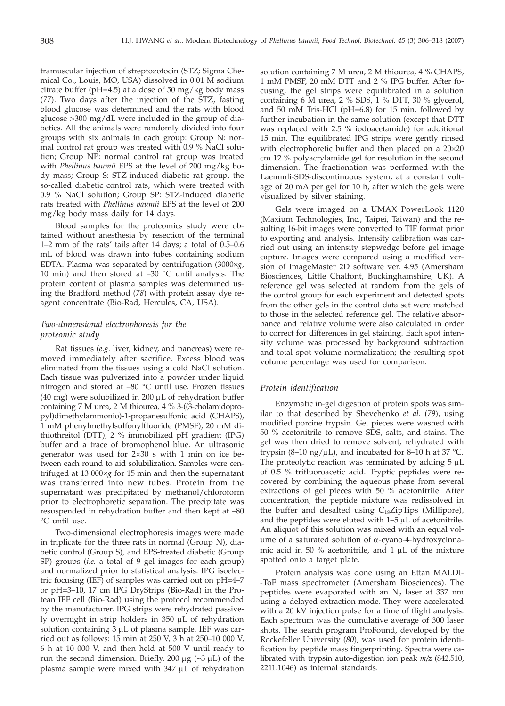tramuscular injection of streptozotocin (STZ; Sigma Chemical Co., Louis, MO, USA) dissolved in 0.01 M sodium citrate buffer (pH=4.5) at a dose of 50 mg/kg body mass (*77*). Two days after the injection of the STZ, fasting blood glucose was determined and the rats with blood glucose >300 mg/dL were included in the group of diabetics. All the animals were randomly divided into four groups with six animals in each group: Group N: normal control rat group was treated with 0.9 % NaCl solution; Group NP: normal control rat group was treated with *Phellinus baumii* EPS at the level of 200 mg/kg body mass; Group S: STZ-induced diabetic rat group, the so-called diabetic control rats, which were treated with 0.9 % NaCl solution; Group SP: STZ-induced diabetic rats treated with *Phellinus baumii* EPS at the level of 200 mg/kg body mass daily for 14 days.

Blood samples for the proteomics study were obtained without anesthesia by resection of the terminal 1–2 mm of the rats' tails after 14 days; a total of 0.5–0.6 mL of blood was drawn into tubes containing sodium EDTA. Plasma was separated by centrifugation (3000*g*, 10 min) and then stored at –30 °C until analysis. The protein content of plasma samples was determined using the Bradford method (*78*) with protein assay dye reagent concentrate (Bio-Rad, Hercules, CA, USA).

# *Two-dimensional electrophoresis for the proteomic study*

Rat tissues (*e.g.* liver, kidney, and pancreas) were removed immediately after sacrifice. Excess blood was eliminated from the tissues using a cold NaCl solution. Each tissue was pulverized into a powder under liquid nitrogen and stored at –80 °C until use. Frozen tissues (40 mg) were solubilized in 200  $\mu$ L of rehydration buffer containing 7 M urea, 2 M thiourea, 4 % 3-((3-cholamidopropyl)dimethylammonio)-1-propanesulfonic acid (CHAPS), 1 mM phenylmethylsulfonylfluoride (PMSF), 20 mM dithiothreitol (DTT), 2 % immobilized pH gradient (IPG) buffer and a trace of bromophenol blue. An ultrasonic generator was used for  $2\times30$  s with 1 min on ice between each round to aid solubilization. Samples were centrifuged at 13 000×*g* for 15 min and then the supernatant was transferred into new tubes. Protein from the supernatant was precipitated by methanol/chloroform prior to electrophoretic separation. The precipitate was resuspended in rehydration buffer and then kept at –80 °C until use.

Two-dimensional electrophoresis images were made in triplicate for the three rats in normal (Group N), diabetic control (Group S), and EPS-treated diabetic (Group SP) groups (*i.e.* a total of 9 gel images for each group) and normalized prior to statistical analysis. IPG isoelectric focusing (IEF) of samples was carried out on pH=4–7 or pH=3–10, 17 cm IPG DryStrips (Bio-Rad) in the Protean IEF cell (Bio-Rad) using the protocol recommended by the manufacturer. IPG strips were rehydrated passively overnight in strip holders in 350 µL of rehydration solution containing  $3 \mu L$  of plasma sample. IEF was carried out as follows: 15 min at 250 V, 3 h at 250–10 000 V, 6 h at 10 000 V, and then held at 500 V until ready to run the second dimension. Briefly,  $200 \mu g$  (~3  $\mu L$ ) of the plasma sample were mixed with  $347 \mu L$  of rehydration

solution containing 7 M urea, 2 M thiourea, 4 % CHAPS, 1 mM PMSF, 20 mM DTT and 2 % IPG buffer. After focusing, the gel strips were equilibrated in a solution containing 6 M urea, 2 % SDS, 1 % DTT, 30 % glycerol, and 50 mM Tris-HCl (pH=6.8) for 15 min, followed by further incubation in the same solution (except that DTT was replaced with 2.5 % iodoacetamide) for additional 15 min. The equilibrated IPG strips were gently rinsed with electrophoretic buffer and then placed on a 20×20 cm 12 % polyacrylamide gel for resolution in the second dimension. The fractionation was performed with the Laemmli-SDS-discontinuous system, at a constant voltage of 20 mA per gel for 10 h, after which the gels were visualized by silver staining.

Gels were imaged on a UMAX PowerLook 1120 (Maxium Technologies, Inc., Taipei, Taiwan) and the resulting 16-bit images were converted to TIF format prior to exporting and analysis. Intensity calibration was carried out using an intensity stepwedge before gel image capture. Images were compared using a modified version of ImageMaster 2D software ver. 4.95 (Amersham Biosciences, Little Chalfont, Buckinghamshire, UK). A reference gel was selected at random from the gels of the control group for each experiment and detected spots from the other gels in the control data set were matched to those in the selected reference gel. The relative absorbance and relative volume were also calculated in order to correct for differences in gel staining. Each spot intensity volume was processed by background subtraction and total spot volume normalization; the resulting spot volume percentage was used for comparison.

#### *Protein identification*

Enzymatic in-gel digestion of protein spots was similar to that described by Shevchenko *et al*. (*79*), using modified porcine trypsin. Gel pieces were washed with 50 % acetonitrile to remove SDS, salts, and stains. The gel was then dried to remove solvent, rehydrated with trypsin (8–10 ng/ $\mu$ L), and incubated for 8–10 h at 37 °C. The proteolytic reaction was terminated by adding  $5 \mu L$ of 0.5 % trifluoroacetic acid. Tryptic peptides were recovered by combining the aqueous phase from several extractions of gel pieces with 50 % acetonitrile. After concentration, the peptide mixture was redissolved in the buffer and desalted using  $C_{18}ZipTips$  (Millipore), and the peptides were eluted with  $1-5 \mu L$  of acetonitrile. An aliquot of this solution was mixed with an equal volume of a saturated solution of  $\alpha$ -cyano-4-hydroxycinnamic acid in 50  $\%$  acetonitrile, and 1  $\mu$ L of the mixture spotted onto a target plate.

Protein analysis was done using an Ettan MALDI- -ToF mass spectrometer (Amersham Biosciences). The peptides were evaporated with an  $N_2$  laser at 337 nm using a delayed extraction mode. They were accelerated with a 20 kV injection pulse for a time of flight analysis. Each spectrum was the cumulative average of 300 laser shots. The search program ProFound, developed by the Rockefeller University (*80*), was used for protein identification by peptide mass fingerprinting. Spectra were calibrated with trypsin auto-digestion ion peak *m/z* (842.510, 2211.1046) as internal standards.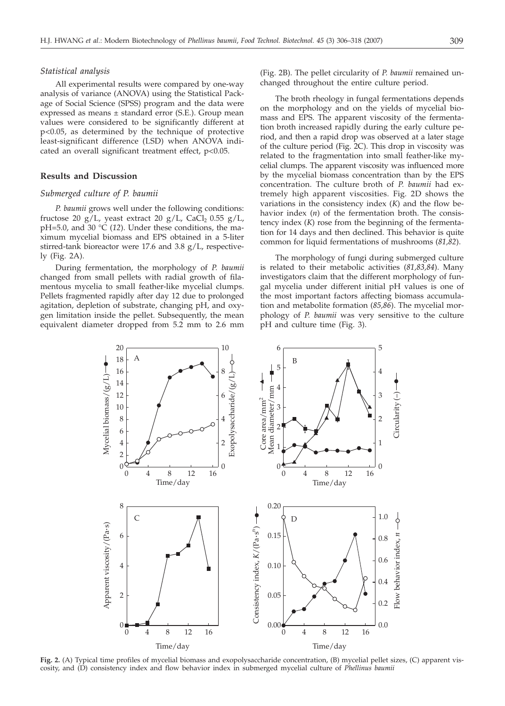#### *Statistical analysis*

All experimental results were compared by one-way analysis of variance (ANOVA) using the Statistical Package of Social Science (SPSS) program and the data were expressed as means ± standard error (S.E.). Group mean values were considered to be significantly different at p<0.05, as determined by the technique of protective least-significant difference (LSD) when ANOVA indicated an overall significant treatment effect, p<0.05.

# **Results and Discussion**

#### *Submerged culture of P. baumii*

*P. baumii* grows well under the following conditions: fructose 20 g/L, yeast extract 20 g/L, CaCl, 0.55 g/L, pH=5.0, and 30 °C (*12*). Under these conditions, the maximum mycelial biomass and EPS obtained in a 5-liter stirred-tank bioreactor were 17.6 and 3.8 g/L, respectively (Fig. 2A).

During fermentation, the morphology of *P. baumii* changed from small pellets with radial growth of filamentous mycelia to small feather-like mycelial clumps. Pellets fragmented rapidly after day 12 due to prolonged agitation, depletion of substrate, changing pH, and oxygen limitation inside the pellet. Subsequently, the mean equivalent diameter dropped from 5.2 mm to 2.6 mm (Fig. 2B). The pellet circularity of *P. baumii* remained unchanged throughout the entire culture period.

The broth rheology in fungal fermentations depends on the morphology and on the yields of mycelial biomass and EPS. The apparent viscosity of the fermentation broth increased rapidly during the early culture period, and then a rapid drop was observed at a later stage of the culture period (Fig. 2C). This drop in viscosity was related to the fragmentation into small feather-like mycelial clumps. The apparent viscosity was influenced more by the mycelial biomass concentration than by the EPS concentration. The culture broth of *P. baumii* had extremely high apparent viscosities. Fig. 2D shows the variations in the consistency index (*K*) and the flow behavior index (*n*) of the fermentation broth. The consistency index (*K*) rose from the beginning of the fermentation for 14 days and then declined. This behavior is quite common for liquid fermentations of mushrooms (*81,82*).

The morphology of fungi during submerged culture is related to their metabolic activities (*81,83,84*). Many investigators claim that the different morphology of fungal mycelia under different initial pH values is one of the most important factors affecting biomass accumulation and metabolite formation (*85,86*). The mycelial morphology of *P. baumii* was very sensitive to the culture pH and culture time (Fig. 3).



**Fig. 2.** (A) Typical time profiles of mycelial biomass and exopolysaccharide concentration, (B) mycelial pellet sizes, (C) apparent viscosity, and (D) consistency index and flow behavior index in submerged mycelial culture of *Phellinus baumii*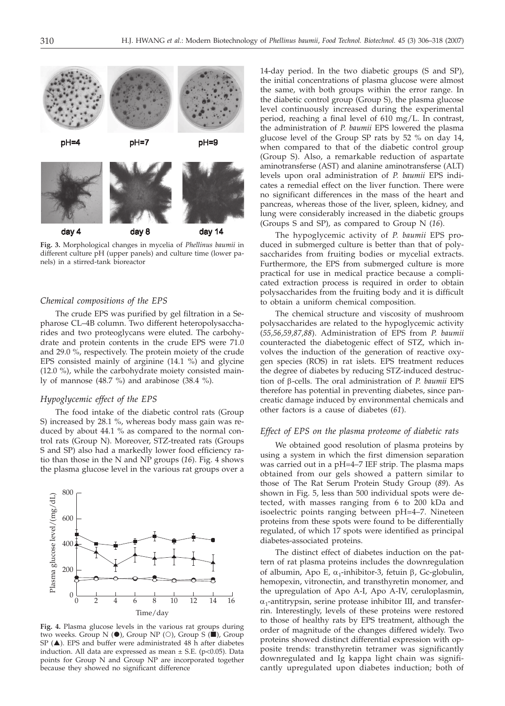**Fig. 3.** Morphological changes in mycelia of *Phellinus baumii* in different culture pH (upper panels) and culture time (lower panels) in a stirred-tank bioreactor

# *Chemical compositions of the EPS*

The crude EPS was purified by gel filtration in a Sepharose CL–4B column. Two different heteropolysaccharides and two proteoglycans were eluted. The carbohydrate and protein contents in the crude EPS were 71.0 and 29.0 %, respectively. The protein moiety of the crude EPS consisted mainly of arginine (14.1 %) and glycine (12.0 %), while the carbohydrate moiety consisted mainly of mannose (48.7 %) and arabinose (38.4 %).

#### *Hypoglycemic effect of the EPS*

The food intake of the diabetic control rats (Group S) increased by 28.1 %, whereas body mass gain was reduced by about 44.1 % as compared to the normal control rats (Group N). Moreover, STZ-treated rats (Groups S and SP) also had a markedly lower food efficiency ratio than those in the N and NP groups (*16*). Fig. 4 shows the plasma glucose level in the various rat groups over a

**Fig. 4.** Plasma glucose levels in the various rat groups during two weeks. Group N (<sup>O</sup>), Group NP (O), Group S ( $\blacksquare$ ), Group SP  $(\triangle)$ . EPS and buffer were administrated 48 h after diabetes induction. All data are expressed as mean  $\pm$  S.E. (p<0.05). Data points for Group N and Group NP are incorporated together because they showed no significant difference

14-day period. In the two diabetic groups (S and SP), the initial concentrations of plasma glucose were almost the same, with both groups within the error range. In the diabetic control group (Group S), the plasma glucose level continuously increased during the experimental period, reaching a final level of 610 mg/L. In contrast, the administration of *P. baumii* EPS lowered the plasma glucose level of the Group SP rats by 52 % on day 14, when compared to that of the diabetic control group (Group S). Also, a remarkable reduction of aspartate aminotransferse (AST) and alanine aminotransferse (ALT) levels upon oral administration of *P. baumii* EPS indicates a remedial effect on the liver function. There were no significant differences in the mass of the heart and pancreas, whereas those of the liver, spleen, kidney, and lung were considerably increased in the diabetic groups (Groups S and SP), as compared to Group N (*16*).

The hypoglycemic activity of *P. baumii* EPS produced in submerged culture is better than that of polysaccharides from fruiting bodies or mycelial extracts. Furthermore, the EPS from submerged culture is more practical for use in medical practice because a complicated extraction process is required in order to obtain polysaccharides from the fruiting body and it is difficult to obtain a uniform chemical composition.

The chemical structure and viscosity of mushroom polysaccharides are related to the hypoglycemic activity (*55,56,59,87,88*). Administration of EPS from *P. baumii* counteracted the diabetogenic effect of STZ, which involves the induction of the generation of reactive oxygen species (ROS) in rat islets. EPS treatment reduces the degree of diabetes by reducing STZ-induced destruction of b-cells. The oral administration of *P. baumii* EPS therefore has potential in preventing diabetes, since pancreatic damage induced by environmental chemicals and other factors is a cause of diabetes (*61*).

# *Effect of EPS on the plasma proteome of diabetic rats*

We obtained good resolution of plasma proteins by using a system in which the first dimension separation was carried out in a pH=4–7 IEF strip. The plasma maps obtained from our gels showed a pattern similar to those of The Rat Serum Protein Study Group (*89*). As shown in Fig. 5, less than 500 individual spots were detected, with masses ranging from 6 to 200 kDa and isoelectric points ranging between pH=4–7. Nineteen proteins from these spots were found to be differentially regulated, of which 17 spots were identified as principal diabetes-associated proteins.

The distinct effect of diabetes induction on the pattern of rat plasma proteins includes the downregulation of albumin, Apo E,  $\alpha_1$ -inhibitor-3, fetuin  $\beta$ , Gc-globulin, hemopexin, vitronectin, and transthyretin monomer, and the upregulation of Apo A-I, Apo A-IV, ceruloplasmin,  $\alpha_1$ -antitrypsin, serine protease inhibitor III, and transferrin. Interestingly, levels of these proteins were restored to those of healthy rats by EPS treatment, although the order of magnitude of the changes differed widely. Two proteins showed distinct differential expression with opposite trends: transthyretin tetramer was significantly downregulated and Ig kappa light chain was significantly upregulated upon diabetes induction; both of



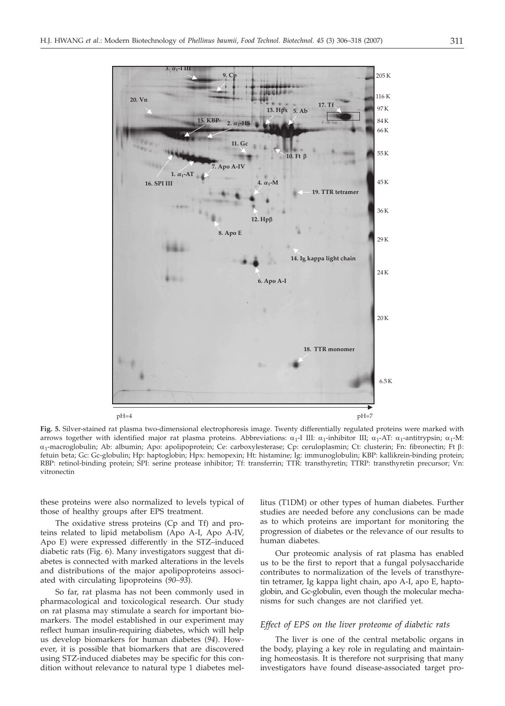

**Fig. 5.** Silver-stained rat plasma two-dimensional electrophoresis image. Twenty differentially regulated proteins were marked with arrows together with identified major rat plasma proteins. Abbreviations:  $\alpha_1$ -I III:  $\alpha_1$ -inhibitor III;  $\alpha_1$ -AT:  $\alpha_1$ -antitrypsin;  $\alpha_1$ -M:  $\alpha_1$ -macroglobulin; Ab: albumin; Apo: apolipoprotein; Ce: carboxylesterase; Cp: ceruloplasmin; Ct: clusterin; Fn: fibronectin; Ft  $\beta$ : fetuin beta; Gc: Gc-globulin; Hp: haptoglobin; Hpx: hemopexin; Ht: histamine; Ig: immunoglobulin; KBP: kallikrein-binding protein; RBP: retinol-binding protein; SPI: serine protease inhibitor; Tf: transferrin; TTR: transthyretin; TTRP: transthyretin precursor; Vn: vitronectin

these proteins were also normalized to levels typical of those of healthy groups after EPS treatment.

The oxidative stress proteins (Cp and Tf) and proteins related to lipid metabolism (Apo A-I, Apo A-IV, Apo E) were expressed differently in the STZ–induced diabetic rats (Fig. 6). Many investigators suggest that diabetes is connected with marked alterations in the levels and distributions of the major apolipoproteins associated with circulating lipoproteins (*90–93*).

So far, rat plasma has not been commonly used in pharmacological and toxicological research. Our study on rat plasma may stimulate a search for important biomarkers. The model established in our experiment may reflect human insulin-requiring diabetes, which will help us develop biomarkers for human diabetes (*94*). However, it is possible that biomarkers that are discovered using STZ-induced diabetes may be specific for this condition without relevance to natural type 1 diabetes mellitus (T1DM) or other types of human diabetes. Further studies are needed before any conclusions can be made as to which proteins are important for monitoring the progression of diabetes or the relevance of our results to human diabetes.

Our proteomic analysis of rat plasma has enabled us to be the first to report that a fungal polysaccharide contributes to normalization of the levels of transthyretin tetramer, Ig kappa light chain, apo A-I, apo E, haptoglobin, and Gc-globulin, even though the molecular mechanisms for such changes are not clarified yet.

#### *Effect of EPS on the liver proteome of diabetic rats*

The liver is one of the central metabolic organs in the body, playing a key role in regulating and maintaining homeostasis. It is therefore not surprising that many investigators have found disease-associated target pro-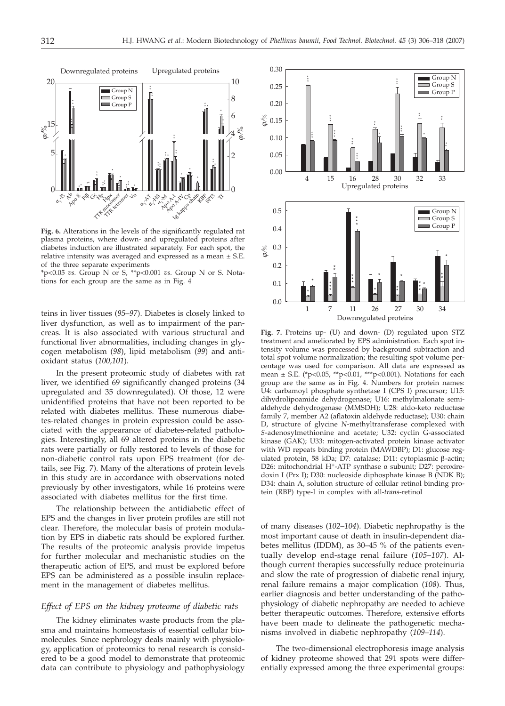

**Fig. 6.** Alterations in the levels of the significantly regulated rat plasma proteins, where down- and upregulated proteins after diabetes induction are illustrated separately. For each spot, the relative intensity was averaged and expressed as a mean ± S.E. of the three separate experiments

\*p<0.05 *vs.* Group N or S, \*\*p<0.001 *vs.* Group N or S. Notations for each group are the same as in Fig. 4

teins in liver tissues (*95–97*). Diabetes is closely linked to liver dysfunction, as well as to impairment of the pancreas. It is also associated with various structural and functional liver abnormalities, including changes in glycogen metabolism (*98*), lipid metabolism (*99*) and antioxidant status (*100,101*).

In the present proteomic study of diabetes with rat liver, we identified 69 significantly changed proteins (34 upregulated and 35 downregulated). Of those, 12 were unidentified proteins that have not been reported to be related with diabetes mellitus. These numerous diabetes-related changes in protein expression could be associated with the appearance of diabetes-related pathologies. Interestingly, all 69 altered proteins in the diabetic rats were partially or fully restored to levels of those for non-diabetic control rats upon EPS treatment (for details, see Fig. 7). Many of the alterations of protein levels in this study are in accordance with observations noted previously by other investigators, while 16 proteins were associated with diabetes mellitus for the first time.

The relationship between the antidiabetic effect of EPS and the changes in liver protein profiles are still not clear. Therefore, the molecular basis of protein modulation by EPS in diabetic rats should be explored further. The results of the proteomic analysis provide impetus for further molecular and mechanistic studies on the therapeutic action of EPS, and must be explored before EPS can be administered as a possible insulin replacement in the management of diabetes mellitus.

#### *Effect of EPS on the kidney proteome of diabetic rats*

The kidney eliminates waste products from the plasma and maintains homeostasis of essential cellular biomolecules. Since nephrology deals mainly with physiology, application of proteomics to renal research is considered to be a good model to demonstrate that proteomic data can contribute to physiology and pathophysiology



**Fig. 7.** Proteins up- (U) and down- (D) regulated upon STZ treatment and ameliorated by EPS administration. Each spot intensity volume was processed by background subtraction and total spot volume normalization; the resulting spot volume percentage was used for comparison. All data are expressed as mean  $\pm$  S.E. (\*p<0.05, \*\*p<0.01, \*\*\*p<0.001). Notations for each group are the same as in Fig. 4. Numbers for protein names: U4: carbamoyl phosphate synthetase I (CPS I) precursor; U15: dihydrolipoamide dehydrogenase; U16: methylmalonate semialdehyde dehydrogenase (MMSDH); U28: aldo-keto reductase family 7, member A2 (aflatoxin aldehyde reductase); U30: chain D, structure of glycine *N*-methyltransferase complexed with *S*-adenosylmethionine and acetate; U32: cyclin G-associated kinase (GAK); U33: mitogen-activated protein kinase activator with WD repeats binding protein (MAWDBP); D1: glucose regulated protein, 58 kDa; D7: catalase; D11: cytoplasmic β-actin; D26: mitochondrial H+-ATP synthase *á* subunit; D27: peroxiredoxin I (Prx I); D30: nucleoside diphosphate kinase B (NDK B); D34: chain A, solution structure of cellular retinol binding protein (RBP) type-I in complex with all-*trans*-retinol

of many diseases (*102–104*). Diabetic nephropathy is the most important cause of death in insulin-dependent diabetes mellitus (IDDM), as 30–45 % of the patients eventually develop end-stage renal failure (*105–107*). Although current therapies successfully reduce proteinuria and slow the rate of progression of diabetic renal injury, renal failure remains a major complication (*108*). Thus, earlier diagnosis and better understanding of the pathophysiology of diabetic nephropathy are needed to achieve better therapeutic outcomes. Therefore, extensive efforts have been made to delineate the pathogenetic mechanisms involved in diabetic nephropathy (*109–114*).

The two-dimensional electrophoresis image analysis of kidney proteome showed that 291 spots were differentially expressed among the three experimental groups: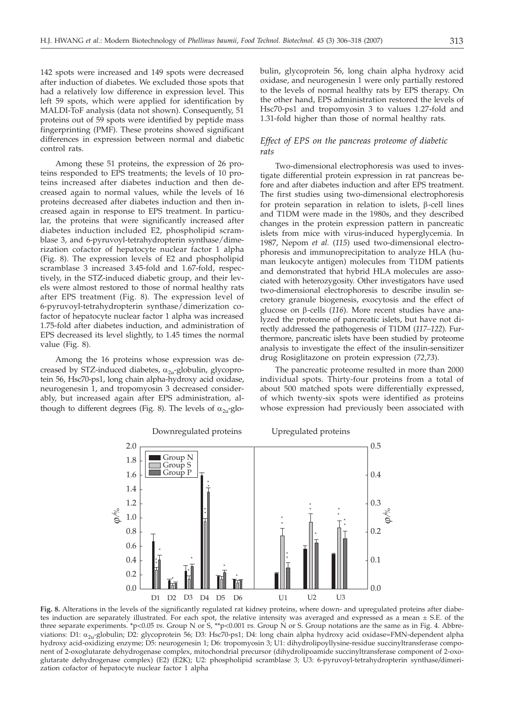142 spots were increased and 149 spots were decreased after induction of diabetes. We excluded those spots that had a relatively low difference in expression level. This left 59 spots, which were applied for identification by MALDI-ToF analysis (data not shown). Consequently, 51 proteins out of 59 spots were identified by peptide mass fingerprinting (PMF). These proteins showed significant differences in expression between normal and diabetic control rats.

Among these 51 proteins, the expression of 26 proteins responded to EPS treatments; the levels of 10 proteins increased after diabetes induction and then decreased again to normal values, while the levels of 16 proteins decreased after diabetes induction and then increased again in response to EPS treatment. In particular, the proteins that were significantly increased after diabetes induction included E2, phospholipid scramblase 3, and 6-pyruvoyl-tetrahydropterin synthase/dimerization cofactor of hepatocyte nuclear factor 1 alpha (Fig. 8). The expression levels of E2 and phospholipid scramblase 3 increased 3.45-fold and 1.67-fold, respectively, in the STZ-induced diabetic group, and their levels were almost restored to those of normal healthy rats after EPS treatment (Fig. 8). The expression level of 6-pyruvoyl-tetrahydropterin synthase/dimerization cofactor of hepatocyte nuclear factor 1 alpha was increased 1.75-fold after diabetes induction, and administration of EPS decreased its level slightly, to 1.45 times the normal value (Fig. 8).

Among the 16 proteins whose expression was decreased by STZ-induced diabetes,  $\alpha_{2u}$ -globulin, glycoprotein 56, Hsc70-ps1, long chain alpha-hydroxy acid oxidase, neurogenesin 1, and tropomyosin 3 decreased considerably, but increased again after EPS administration, although to different degrees (Fig. 8). The levels of  $\alpha_{2u}$ -globulin, glycoprotein 56, long chain alpha hydroxy acid oxidase, and neurogenesin 1 were only partially restored to the levels of normal healthy rats by EPS therapy. On the other hand, EPS administration restored the levels of Hsc70-ps1 and tropomyosin 3 to values 1.27-fold and 1.31-fold higher than those of normal healthy rats.

## *Effect of EPS on the pancreas proteome of diabetic rats*

Two-dimensional electrophoresis was used to investigate differential protein expression in rat pancreas before and after diabetes induction and after EPS treatment. The first studies using two-dimensional electrophoresis for protein separation in relation to islets,  $\beta$ -cell lines and T1DM were made in the 1980s, and they described changes in the protein expression pattern in pancreatic islets from mice with virus-induced hyperglycemia. In 1987, Nepom *et al.* (*115*) used two-dimensional electrophoresis and immunoprecipitation to analyze HLA (human leukocyte antigen) molecules from T1DM patients and demonstrated that hybrid HLA molecules are associated with heterozygosity. Other investigators have used two-dimensional electrophoresis to describe insulin secretory granule biogenesis, exocytosis and the effect of glucose on b-cells (*116*). More recent studies have analyzed the proteome of pancreatic islets, but have not directly addressed the pathogenesis of T1DM (*117–122*). Furthermore, pancreatic islets have been studied by proteome analysis to investigate the effect of the insulin-sensitizer drug Rosiglitazone on protein expression (*72,73*).

The pancreatic proteome resulted in more than 2000 individual spots. Thirty-four proteins from a total of about 500 matched spots were differentially expressed, of which twenty-six spots were identified as proteins whose expression had previously been associated with



**Fig. 8.** Alterations in the levels of the significantly regulated rat kidney proteins, where down- and upregulated proteins after diabetes induction are separately illustrated. For each spot, the relative intensity was averaged and expressed as a mean ± S.E. of the three separate experiments. \*p<0.05 *vs.* Group N or S, \*\*p<0.001 *vs.* Group N or S. Group notations are the same as in Fig. 4. Abbreviations: D1:  $\alpha_{2u}$ -globulin; D2: glycoprotein 56; D3: Hsc70-ps1; D4: long chain alpha hydroxy acid oxidase=FMN-dependent alpha hydroxy acid-oxidizing enzyme; D5: neurogenesin 1; D6: tropomyosin 3; U1: dihydrolipoyllysine-residue succinyltransferase component of 2-oxoglutarate dehydrogenase complex, mitochondrial precursor (dihydrolipoamide succinyltransferase component of 2-oxoglutarate dehydrogenase complex) (E2) (E2K); U2: phospholipid scramblase 3; U3: 6-pyruvoyl-tetrahydropterin synthase*/*dimerization cofactor of hepatocyte nuclear factor 1 alpha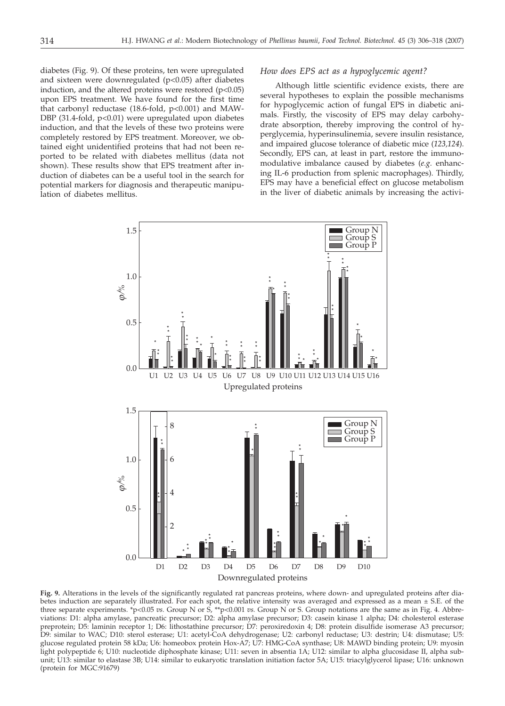diabetes (Fig. 9). Of these proteins, ten were upregulated and sixteen were downregulated (p<0.05) after diabetes induction, and the altered proteins were restored (p<0.05) upon EPS treatment. We have found for the first time that carbonyl reductase (18.6-fold, p<0.001) and MAW-DBP (31.4-fold, p<0.01) were upregulated upon diabetes induction, and that the levels of these two proteins were completely restored by EPS treatment. Moreover, we obtained eight unidentified proteins that had not been reported to be related with diabetes mellitus (data not shown). These results show that EPS treatment after induction of diabetes can be a useful tool in the search for potential markers for diagnosis and therapeutic manipulation of diabetes mellitus.

## *How does EPS act as a hypoglycemic agent?*

Although little scientific evidence exists, there are several hypotheses to explain the possible mechanisms for hypoglycemic action of fungal EPS in diabetic animals. Firstly, the viscosity of EPS may delay carbohydrate absorption, thereby improving the control of hyperglycemia, hyperinsulinemia, severe insulin resistance, and impaired glucose tolerance of diabetic mice (*123,124*). Secondly, EPS can, at least in part, restore the immunomodulative imbalance caused by diabetes (*e.g.* enhancing IL-6 production from splenic macrophages). Thirdly, EPS may have a beneficial effect on glucose metabolism in the liver of diabetic animals by increasing the activi-



**Fig. 9.** Alterations in the levels of the significantly regulated rat pancreas proteins, where down- and upregulated proteins after diabetes induction are separately illustrated. For each spot, the relative intensity was averaged and expressed as a mean ± S.E. of the three separate experiments. \*p<0.05 *vs.* Group N or S, \*\*p<0.001 *vs.* Group N or S. Group notations are the same as in Fig. 4. Abbreviations: D1: alpha amylase, pancreatic precursor; D2: alpha amylase precursor; D3: casein kinase 1 alpha; D4: cholesterol esterase preprotein; D5: laminin receptor 1; D6: lithostathine precursor; D7: peroxiredoxin 4; D8: protein disulfide isomerase A3 precursor; D9: similar to WAC; D10: sterol esterase; U1: acetyl-CoA dehydrogenase; U2: carbonyl reductase; U3: destrin; U4: dismutase; U5: glucose regulated protein 58 kDa; U6: homeobox protein Hox-A7; U7: HMG-CoA synthase; U8: MAWD binding protein; U9: myosin light polypeptide 6; U10: nucleotide diphosphate kinase; U11: seven in absentia 1A; U12: similar to alpha glucosidase II, alpha subunit; U13: similar to elastase 3B; U14: similar to eukaryotic translation initiation factor 5A; U15: triacylglycerol lipase; U16: unknown (protein for MGC:91679)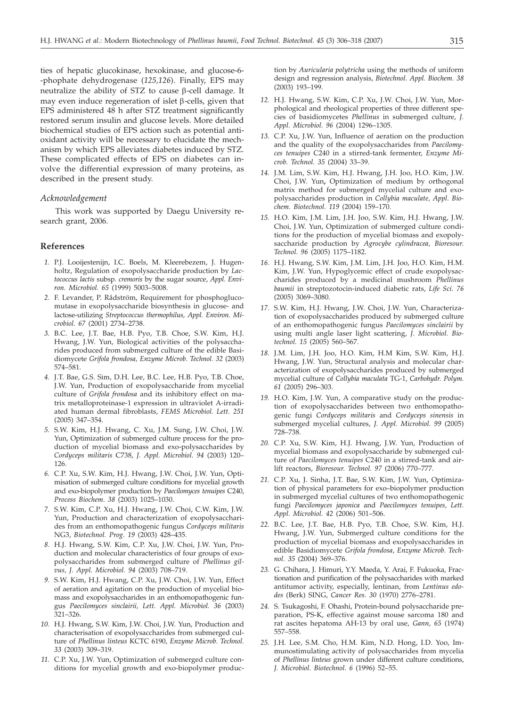ties of hepatic glucokinase, hexokinase, and glucose-6- -phophate dehydrogenase (*125,126*). Finally, EPS may neutralize the ability of STZ to cause  $\beta$ -cell damage. It may even induce regeneration of islet  $\beta$ -cells, given that EPS administered 48 h after STZ treatment significantly restored serum insulin and glucose levels. More detailed biochemical studies of EPS action such as potential antioxidant activity will be necessary to elucidate the mechanism by which EPS alleviates diabetes induced by STZ. These complicated effects of EPS on diabetes can involve the differential expression of many proteins, as described in the present study.

#### *Acknowledgement*

This work was supported by Daegu University research grant, 2006.

#### **References**

- *1.* P.J. Looijestenijn, I.C. Boels, M. Kleerebezem, J. Hugenholtz, Regulation of exopolysaccharide production by *Lactococcus lactis* subsp*. cremoris* by the sugar source, *Appl. Environ. Microbiol. 65* (1999) 5003–5008.
- *2.* F. Levander, P. Rådström, Requirement for phosphoglucomutase in exopolysaccharide biosynthesis in glucose- and lactose-utilizing *Streptococcus thermophilus, Appl. Environ. Microbiol. 67* (2001) 2734–2738.
- *3.* B.C. Lee, J.T. Bae, H.B. Pyo, T.B. Choe, S.W. Kim, H.J. Hwang, J.W. Yun, Biological activities of the polysaccharides produced from submerged culture of the edible Basidiomycete *Grifola frondosa, Enzyme Microb. Technol. 32* (2003) 574–581.
- *4.* J.T. Bae, G.S. Sim, D.H. Lee, B.C. Lee, H.B. Pyo, T.B. Choe, J.W. Yun, Production of exopolysaccharide from mycelial culture of *Grifola frondosa* and its inhibitory effect on matrix metalloproteinase-1 expression in ultraviolet A-irradiated human dermal fibroblasts, *FEMS Microbiol. Lett. 251* (2005) 347–354.
- *5.* S.W. Kim, H.J. Hwang, C. Xu, J.M. Sung, J.W. Choi, J.W. Yun, Optimization of submerged culture process for the production of mycelial biomass and exo-polysaccharides by *Cordyceps militaris* C738, *J. Appl. Microbiol. 94* (2003) 120– 126.
- *6.* C.P. Xu, S.W. Kim, H.J. Hwang, J.W. Choi, J.W. Yun, Optimisation of submerged culture conditions for mycelial growth and exo-biopolymer production by *Paecilomyces tenuipes* C240, *Process Biochem. 38* (2003) 1025–1030.
- *7.* S.W. Kim, C.P. Xu, H.J. Hwang, J.W. Choi, C.W. Kim, J.W. Yun, Production and characterization of exopolysaccharides from an enthomopathogenic fungus *Cordyceps militaris* NG3, *Biotechnol. Prog. 19* (2003) 428–435.
- *8.* H.J. Hwang, S.W. Kim, C.P. Xu, J.W. Choi, J.W. Yun, Production and molecular characteristics of four groups of exopolysaccharides from submerged culture of *Phellinus gilvus, J. Appl. Microbiol. 94* (2003) 708–719.
- *9.* S.W. Kim, H.J. Hwang, C.P. Xu, J.W. Choi, J.W. Yun, Effect of aeration and agitation on the production of mycelial biomass and exopolysaccharides in an enthomopathogenic fungus *Paecilomyces sinclairii, Lett. Appl. Microbiol. 36* (2003) 321–326.
- *10.* H.J. Hwang, S.W. Kim, J.W. Choi, J.W. Yun, Production and characterisation of exopolysaccharides from submerged culture of *Phellinus linteus* KCTC 6190, *Enzyme Microb. Technol. 33* (2003) 309–319.
- *11.* C.P. Xu, J.W. Yun, Optimization of submerged culture conditions for mycelial growth and exo-biopolymer produc-

tion by *Auricularia polytricha* using the methods of uniform design and regression analysis, *Biotechnol. Appl. Biochem. 38* (2003) 193–199.

- *12.* H.J. Hwang, S.W. Kim, C.P. Xu, J.W. Choi, J.W. Yun, Morphological and rheological properties of three different species of basidiomycetes *Phellinus* in submerged culture, *J. Appl. Microbiol. 96* (2004) 1296–1305.
- *13.* C.P. Xu, J.W. Yun, Influence of aeration on the production and the quality of the exopolysaccharides from *Paecilomyces tenuipes* C240 in a stirred-tank fermenter, *Enzyme Microb. Technol. 35* (2004) 33–39.
- *14.* J.M. Lim, S.W. Kim, H.J. Hwang, J.H. Joo, H.O. Kim, J.W. Choi, J.W. Yun**,** Optimization of medium by orthogonal matrix method for submerged mycelial culture and exopolysaccharides production in *Collybia maculate, Appl. Biochem. Biotechnol. 119* (2004) 159–170.
- *15.* H.O. Kim, J.M. Lim, J.H. Joo, S.W. Kim, H.J. Hwang, J.W. Choi, J.W. Yun, Optimization of submerged culture conditions for the production of mycelial biomass and exopolysaccharide production by *Agrocybe cylindracea, Bioresour. Technol. 96* (2005) 1175–1182.
- *16.* H.J. Hwang, S.W. Kim, J.M. Lim, J.H. Joo, H.O. Kim, H.M. Kim, J.W. Yun, Hypoglycemic effect of crude exopolysaccharides produced by a medicinal mushroom *Phellinus baumii* in streptozotocin-induced diabetic rats, *Life Sci. 76* (2005) 3069–3080.
- *17.* S.W. Kim, H.J. Hwang, J.W. Choi, J.W. Yun, Characterization of exopolysaccharides produced by submerged culture of an enthomopathogenic fungus *Paecilomyces sinclairii* by using multi angle laser light scattering, *J. Microbiol. Biotechnol. 15* (2005) 560–567.
- *18.* J.M. Lim, J.H. Joo, H.O. Kim, H.M Kim, S.W. Kim, H.J. Hwang, J.W. Yun, Structural analysis and molecular characterization of exopolysaccharides produced by submerged mycelial culture of *Collybia maculata* TG-1, *Carbohydr. Polym. 61* (2005) 296–303.
- *19.* H.O. Kim, J.W. Yun, A comparative study on the production of exopolysaccharides between two enthomopathogenic fungi *Cordyceps militaris* and *Cordyceps sinensis* in submerged mycelial cultures, *J. Appl. Microbiol. 99* (2005) 728–738.
- *20.* C.P. Xu, S.W. Kim, H.J. Hwang, J.W. Yun, Production of mycelial biomass and exopolysaccharide by submerged culture of *Paecilomyces tenuipes* C240 in a stirred-tank and airlift reactors, *Bioresour. Technol. 97* (2006) 770–777.
- *21.* C.P. Xu, J. Sinha, J.T. Bae, S.W. Kim, J.W. Yun, Optimization of physical parameters for exo–biopolymer production in submerged mycelial cultures of two enthomopathogenic fungi *Paecilomyces japonica* and *Paecilomyces tenuipes*, *Lett. Appl. Microbiol. 42* (2006) 501–506.
- *22.* B.C. Lee, J.T. Bae, H.B. Pyo, T.B. Choe, S.W. Kim, H.J. Hwang, J.W. Yun, Submerged culture conditions for the production of mycelial biomass and exopolysaccharides in edible Basidiomycete *Grifola frondosa, Enzyme Microb. Technol. 35* (2004) 369–376.
- *23.* G. Chihara, J. Himuri, Y.Y. Maeda, Y. Arai, F. Fukuoka, Fractionation and purification of the polysaccharides with marked antitumor activity, especially, lentinan, from *Lentinus edodes* (Berk) SING, *Cancer Res. 30* (1970) 2776–2781.
- *24.* S. Tsukagoshi, F. Ohashi, Protein-bound polysaccharide preparation, PS-K, effective against mouse sarcoma 180 and rat ascites hepatoma AH-13 by oral use, *Gann, 65* (1974) 557–558.
- *25.* J.H. Lee, S.M. Cho, H.M. Kim, N.D. Hong, I.D. Yoo, Immunostimulating activity of polysaccharides from mycelia of *Phellinus linteus* grown under different culture conditions, *J. Microbiol. Biotechnol. 6* (1996) 52–55.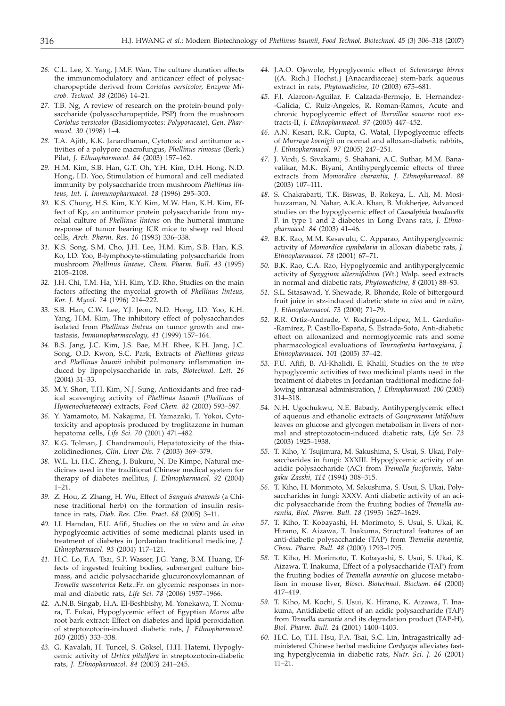- *26.* C.L. Lee, X. Yang, J.M.F. Wan, The culture duration affects the immunomodulatory and anticancer effect of polysaccharopeptide derived from *Coriolus versicolor, Enzyme Microb. Technol. 38* (2006) 14–21.
- *27.* T.B. Ng, A review of research on the protein-bound polysaccharide (polysaccharopeptide, PSP) from the mushroom *Coriolus versicolor* (Basidiomycetes: *Polyporaceae*), *Gen. Pharmacol. 30* (1998) 1–4.
- *28.* T.A. Ajith, K.K. Janardhanan, Cytotoxic and antitumor activities of a polypore macrofungus, *Phellinus rimosus* (Berk.) Pilat, *J. Ethnopharmacol. 84* (2003) 157–162.
- *29.* H.M. Kim, S.B. Han, G.T. Oh, Y.H. Kim, D.H. Hong, N.D. Hong, I.D. Yoo, Stimulation of humoral and cell mediated immunity by polysaccharide from mushroom *Phellinus linteus, Int. J. Immunopharmacol. 18* (1996) 295–303.
- *30.* K.S. Chung, H.S. Kim, K.Y. Kim, M.W. Han, K.H. Kim, Effect of Kp, an antitumor protein polysaccharide from mycelial culture of *Phellinus linteus* on the humeral immune response of tumor bearing ICR mice to sheep red blood cells, *Arch. Pharm. Res. 16* (1993) 336–338.
- *31.* K.S. Song, S.M. Cho, J.H. Lee, H.M. Kim, S.B. Han, K.S. Ko, I.D. Yoo, B-lymphocyte-stimulating polysaccharide from mushroom *Phellinus linteus, Chem. Pharm. Bull. 43* (1995) 2105–2108.
- *32.* J.H. Chi, T.M. Ha, Y.H. Kim, Y.D. Rho, Studies on the main factors affecting the mycelial growth of *Phellinus linteus, Kor. J. Mycol. 24* (1996) 214–222.
- *33.* S.B. Han, C.W. Lee, Y.J. Jeon, N.D. Hong, I.D. Yoo, K.H. Yang, H.M. Kim, The inhibitory effect of polysaccharides isolated from *Phellinus linteus* on tumor growth and metastasis, *Immunopharmacology, 41* (1999) 157–164.
- *34.* B.S. Jang, J.C. Kim, J.S. Bae, M.H. Rhee, K.H. Jang, J.C. Song, O.D. Kwon, S.C. Park, Extracts of *Phellinus gilvus* and *Phellinus baumii* inhibit pulmonary inflammation induced by lipopolysaccharide in rats, *Biotechnol. Lett. 26* (2004) 31–33.
- *35.* M.Y. Shon, T.H. Kim, N.J. Sung, Antioxidants and free radical scavenging activity of *Phellinus baumii* (*Phellinus* of *Hymenochaetaceae*) extracts, *Food Chem. 82* (2003) 593–597.
- *36.* Y. Yamamoto, M. Nakajima, H. Yamazaki, T. Yokoi, Cytotoxicity and apoptosis produced by troglitazone in human hepatoma cells, *Life Sci. 70* (2001) 471–482.
- *37.* K.G. Tolman, J. Chandramouli, Hepatotoxicity of the thiazolidinediones, *Clin. Liver Dis. 7* (2003) 369–379.
- *38.* W.L. Li, H.C. Zheng, J. Bukuru, N. De Kimpe, Natural medicines used in the traditional Chinese medical system for therapy of diabetes mellitus, *J. Ethnopharmacol. 92* (2004) 1–21.
- *39.* Z. Hou, Z. Zhang, H. Wu, Effect of *Sanguis draxonis* (a Chinese traditional herb) on the formation of insulin resistance in rats, *Diab. Res. Clin. Pract. 68* (2005) 3–11.
- *40.* I.I. Hamdan, F.U. Afifi, Studies on the *in vitro* and *in vivo* hypoglycemic activities of some medicinal plants used in treatment of diabetes in Jordanian traditional medicine, *J. Ethnopharmacol. 93* (2004) 117–121.
- *41.* H.C. Lo, F.A. Tsai, S.P. Wasser, J.G. Yang, B.M. Huang, Effects of ingested fruiting bodies, submerged culture biomass, and acidic polysaccharide glucuronoxylomannan of *Tremella mesenterica* Retz.:Fr. on glycemic responses in normal and diabetic rats, *Life Sci. 78* (2006) 1957–1966.
- *42.* A.N.B. Singab, H.A. El-Beshbishy, M. Yonekawa, T. Nomura, T. Fukai, Hypoglycemic effect of Egyptian *Morus alba* root bark extract: Effect on diabetes and lipid peroxidation of streptozotocin-induced diabetic rats, *J. Ethnopharmacol. 100* (2005) 333–338.
- 43. G. Kavalalı, H. Tuncel, S. Göksel, H.H. Hatemi, Hypoglycemic activity of *Urtica pilulifera* in streptozotocin-diabetic rats, *J. Ethnopharmacol. 84* (2003) 241–245.
- *44.* J.A.O. Ojewole, Hypoglycemic effect of *Sclerocarya birrea* {(A. Rich.) Hochst.} [Anacardiaceae] stem-bark aqueous extract in rats, *Phytomedicine, 10* (2003) 675–681.
- *45.* F.J. Alarcon-Aguilar, F. Calzada-Bermejo, E. Hernandez- -Galicia, C. Ruiz-Angeles, R. Roman-Ramos, Acute and chronic hypoglycemic effect of *Ibervillea sonorae* root extracts-II, *J. Ethnopharmacol. 97* (2005) 447–452.
- *46.* A.N. Kesari, R.K. Gupta, G. Watal, Hypoglycemic effects of *Murraya koenigii* on normal and alloxan-diabetic rabbits, *J. Ethnopharmacol. 97* (2005) 247–251.
- *47.* J. Virdi, S. Sivakami, S. Shahani, A.C. Suthar, M.M. Banavalikar, M.K. Biyani, Antihyperglycemic effects of three extracts from *Momordica charantia, J. Ethnopharmacol. 88* (2003) 107–111.
- *48.* S. Chakrabarti, T.K. Biswas, B. Rokeya, L. Ali, M. Mosihuzzaman, N. Nahar, A.K.A. Khan, B. Mukherjee, Advanced studies on the hypoglycemic effect of *Caesalpinia bonducella* F. in type 1 and 2 diabetes in Long Evans rats, *J. Ethnopharmacol. 84* (2003) 41–46.
- *49.* B.K. Rao, M.M. Kesavulu, C. Apparao, Antihyperglycemic activity of *Momordica cymbalaria* in alloxan diabetic rats, *J. Ethnopharmacol. 78* (2001) 67–71.
- *50.* B.K. Rao, C.A. Rao, Hypoglycemic and antihyperglycemic activity of *Syzygium alternifolium* (Wt.) Walp. seed extracts in normal and diabetic rats, *Phytomedicine, 8* (2001) 88–93.
- *51.* S.L. Sitasawad, Y. Shewade, R. Bhonde, Role of bittergourd fruit juice in stz-induced diabetic state *in vivo* and *in vitro*, *J. Ethnopharmacol. 73* (2000) 71–79.
- *52.* R.R. Ortiz-Andrade, V. Rodríguez-López, M.L. Garduño- -Ramírez, P. Castillo-España, S. Estrada-Soto, Anti-diabetic effect on alloxanized and normoglycemic rats and some pharmacological evaluations of *Tournefortia hartwegiana, J. Ethnopharmacol. 101* (2005) 37–42.
- *53.* F.U. Afifi, B. Al-Khalidi, E. Khalil, Studies on the *in vivo* hypoglycemic activities of two medicinal plants used in the treatment of diabetes in Jordanian traditional medicine following intranasal administration, *J. Ethnopharmacol. 100* (2005) 314–318.
- *54.* N.H. Ugochukwu, N.E. Babady, Antihyperglycemic effect of aqueous and ethanolic extracts of *Gongronema latifolium* leaves on glucose and glycogen metabolism in livers of normal and streptozotocin-induced diabetic rats, *Life Sci. 73* (2003) 1925–1938.
- *55.* T. Kiho, Y. Tsujimura, M. Sakushima, S. Usui, S. Ukai, Polysaccharides in fungi: XXXIII. Hypoglycemic activity of an acidic polysaccharide (AC) from *Tremella fuciformis, Yakugaku Zasshi, 114* (1994) 308–315.
- *56.* T. Kiho, H. Morimoto, M. Sakushima, S. Usui, S. Ukai, Polysaccharides in fungi: XXXV. Anti diabetic activity of an acidic polysaccharide from the fruiting bodies of *Tremella aurantia, Biol. Pharm. Bull. 18* (1995) 1627–1629.
- *57.* T. Kiho, T. Kobayashi, H. Morimoto, S. Usui, S. Ukai, K. Hirano, K. Aizawa, T. Inakuma, Structural features of an anti-diabetic polysaccharide (TAP) from *Tremella aurantia, Chem. Pharm. Bull. 48* (2000) 1793–1795.
- *58.* T. Kiho, H. Morimoto, T. Kobayashi, S. Usui, S. Ukai, K. Aizawa, T. Inakuma, Effect of a polysaccharide (TAP) from the fruiting bodies of *Tremella aurantia* on glucose metabolism in mouse liver, *Biosci. Biotechnol. Biochem. 64* (2000) 417–419.
- *59.* T. Kiho, M. Kochi, S. Usui, K. Hirano, K. Aizawa, T. Inakuma, Antidiabetic effect of an acidic polysaccharide (TAP) from *Tremella aurantia* and its degradation product (TAP-H), *Biol. Pharm. Bull. 24* (2001) 1400–1403.
- *60.* H.C. Lo, T.H. Hsu, F.A. Tsai, S.C. Lin, Intragastrically administered Chinese herbal medicine *Cordyceps* alleviates fasting hyperglycemia in diabetic rats, *Nutr. Sci. J. 26* (2001) 11–21.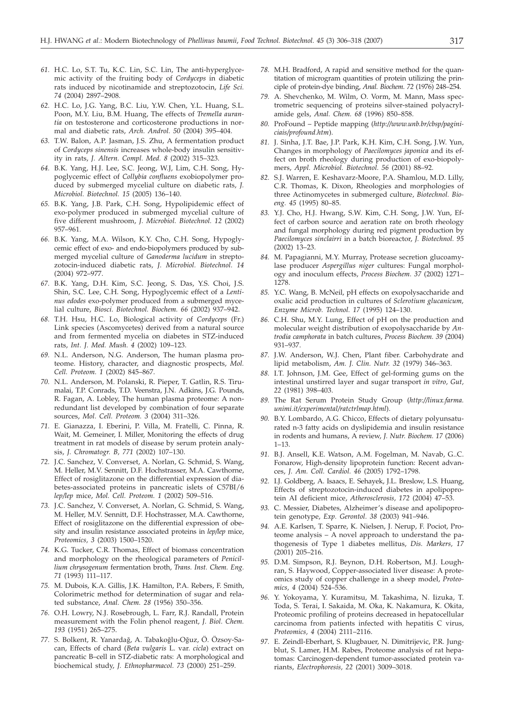- *61.* H.C. Lo, S.T. Tu, K.C. Lin, S.C. Lin, The anti-hyperglycemic activity of the fruiting body of *Cordyceps* in diabetic rats induced by nicotinamide and streptozotocin, *Life Sci. 74* (2004) 2897–2908.
- *62.* H.C. Lo, J.G. Yang, B.C. Liu, Y.W. Chen, Y.L. Huang, S.L. Poon, M.Y. Liu, B.M. Huang, The effects of *Tremella aurantia* on testosterone and corticosterone productions in normal and diabetic rats, *Arch. Androl. 50* (2004) 395–404.
- *63.* T.W. Balon, A.P. Jasman, J.S. Zhu, A fermentation product of *Cordyceps sinensis* increases whole-body insulin sensitivity in rats, *J. Altern. Compl. Med. 8* (2002) 315–323.
- *64.* B.K. Yang, H.J. Lee, S.C. Jeong, W.J, Lim, C.H. Song, Hypoglycemic effect of *Collybia confluens* exobiopolymer produced by submerged mycelial culture on diabetic rats, *J. Microbiol. Biotechnol. 15* (2005) 136–140.
- *65.* B.K. Yang, J.B. Park, C.H. Song, Hypolipidemic effect of exo-polymer produced in submerged mycelial culture of five different mushroom, *J. Microbiol. Biotechnol. 12* (2002) 957–961.
- *66.* B.K. Yang, M.A. Wilson, K.Y. Cho, C.H. Song, Hypoglycemic effect of exo- and endo-biopolymers produced by submerged mycelial culture of *Ganoderma lucidum* in streptozotocin-induced diabetic rats, *J. Microbiol. Biotechnol. 14* (2004) 972–977.
- *67.* B.K. Yang, D.H. Kim, S.C. Jeong, S. Das, Y.S. Choi, J.S. Shin, S.C. Lee, C.H. Song, Hypoglycemic effect of a *Lentinus edodes* exo-polymer produced from a submerged mycelial culture, *Biosci. Biotechnol. Biochem. 66* (2002) 937–942.
- *68.* T.H. Hsu, H.C. Lo, Biological activity of *Cordyceps* (Fr.) Link species (Ascomycetes) derived from a natural source and from fermented mycelia on diabetes in STZ-induced rats, *Int. J. Med. Mush. 4* (2002) 109–123.
- *69.* N.L. Anderson, N.G. Anderson, The human plasma proteome. History, character, and diagnostic prospects, *Mol. Cell. Proteom. 1* (2002) 845–867.
- *70.* N.L. Anderson, M. Polanski, R. Pieper, T. Gatlin, R.S. Tirumalai, T.P. Conrads, T.D. Veenstra, J.N. Adkins, J.G. Pounds, R. Fagan, A. Lobley, The human plasma proteome: A nonredundant list developed by combination of four separate sources, *Mol. Cell. Proteom. 3* (2004) 311–326.
- *71.* E. Gianazza, I. Eberini, P. Villa, M. Fratelli, C. Pinna, R. Wait, M. Gemeiner, I. Miller, Monitoring the effects of drug treatment in rat models of disease by serum protein analysis, *J. Chromatogr. B, 771* (2002) 107–130.
- *72.* J.C. Sanchez, V. Converset, A. Norlan, G. Schmid, S. Wang, M. Heller, M.V. Sennitt, D.F. Hochstrasser, M.A. Cawthorne, Effect of rosiglitazone on the differential expression of diabetes-associated proteins in pancreatic islets of C57BI/6 *lep/lep* mice, *Mol. Cell. Proteom. 1* (2002) 509–516.
- *73.* J.C. Sanchez, V. Converset, A. Norlan, G. Schmid, S. Wang, M. Heller, M.V. Sennitt, D.F. Hochstrasser, M.A. Cawthorne, Effect of rosiglitazone on the differential expression of obesity and insulin resistance associated proteins in *lep/lep* mice, *Proteomics, 3* (2003) 1500–1520.
- *74.* K.G. Tucker, C.R. Thomas, Effect of biomass concentration and morphology on the rheological parameters of *Penicillium chrysogenum* fermentation broth, *Trans. Inst. Chem. Eng. 71* (1993) 111–117.
- *75.* M. Dubois, K.A. Gillis, J.K. Hamilton, P.A. Rebers, F. Smith, Colorimetric method for determination of sugar and related substance, *Anal. Chem. 28* (1956) 350–356.
- *76.* O.H. Lowry, N.J. Rosebrough, L. Farr, R.J. Randall, Protein measurement with the Folin phenol reagent, *J. Biol. Chem. 193* (1951) 265–275.
- 77. S. Bolkent, R. Yanardağ, A. Tabakoğlu-Oğuz, Ö. Özsoy-Sacan, Effects of chard (*Beta vulgaris* L. var. *cicla*) extract on pancreatic B–cell in STZ-diabetic rats: A morphological and biochemical study, *J. Ethnopharmacol. 73* (2000) 251–259.
- *78.* M.H. Bradford, A rapid and sensitive method for the quantitation of microgram quantities of protein utilizing the principle of protein-dye binding, *Anal. Biochem. 72* (1976) 248–254.
- *79.* A. Shevchenko, M. Wilm, O. Vorm, M. Mann, Mass spectrometric sequencing of proteins silver-stained polyacrylamide gels, *Anal. Chem. 68* (1996) 850–858.
- *80.* ProFound Peptide mapping (*http://www.unb.br/cbsp/paginiciais/profound.htm*).
- *81.* J. Sinha, J.T. Bae, J.P. Park, K.H. Kim, C.H. Song, J.W. Yun, Changes in morphology of *Paecilomyces japonica* and its effect on broth rheology during production of exo-biopolymers, *Appl. Microbiol. Biotechnol. 56* (2001) 88–92.
- *82.* S.J. Warren, E. Keshavarz-Moore, P.A. Shamlou, M.D. Lilly, C.R. Thomas, K. Dixon, Rheologies and morphologies of three Actinomycetes in submerged culture, *Biotechnol. Bioeng. 45* (1995) 80–85.
- *83.* Y.J. Cho, H.J. Hwang, S.W. Kim, C.H. Song, J.W. Yun, Effect of carbon source and aeration rate on broth rheology and fungal morphology during red pigment production by *Paecilomyces sinclairri* in a batch bioreactor, *J. Biotechnol. 95* (2002) 13–23.
- *84.* M. Papagianni, M.Y. Murray, Protease secretion glucoamylase producer *Aspergillus niger* cultures: Fungal morphology and inoculum effects, *Process Biochem. 37* (2002) 1271– 1278.
- *85.* Y.C. Wang, B. McNeil, pH effects on exopolysaccharide and oxalic acid production in cultures of *Sclerotium glucanicum, Enzyme Microb. Technol. 17* (1995) 124–130.
- *86.* C.H. Shu, M.Y. Lung, Effect of pH on the production and molecular weight distribution of exopolysaccharide by *Antrodia camphorata* in batch cultures, *Process Biochem. 39* (2004) 931–937.
- *87.* J.W. Anderson, W.J. Chen, Plant fiber. Carbohydrate and lipid metabolism, *Am. J. Clin. Nutr. 32* (1979) 346–363.
- *88.* I.T. Johnson, J.M. Gee, Effect of gel-forming gums on the intestinal unstirred layer and sugar transport *in vitro, Gut, 22* (1981) 398–403.
- *89.* The Rat Serum Protein Study Group (*http://linux.farma. unimi.it/experimental/ratctrlmap.html*).
- *90.* B.Y. Lombardo, A.G. Chicco, Effects of dietary polyunsaturated n-3 fatty acids on dyslipidemia and insulin resistance in rodents and humans, A review, *J. Nutr. Biochem. 17* (2006) 1–13.
- *91.* B.J. Ansell, K.E. Watson, A.M. Fogelman, M. Navab, G..C. Fonarow, High-density lipoprotein function: Recent advances, *J. Am. Coll. Cardiol. 46* (2005) 1792–1798.
- *92.* I.J. Goldberg, A. Isaacs, E. Sehayek, J.L. Breslow, L.S. Huang, Effects of streptozotocin-induced diabetes in apolipoprotein AI deficient mice, *Atherosclerosis, 172* (2004) 47–53.
- *93.* C. Messier, Diabetes, Alzheimer's disease and apolipoprotein genotype, *Exp. Gerontol. 38* (2003) 941–946.
- *94.* A.E. Karlsen, T. Sparre, K. Nielsen, J. Nerup, F. Pociot, Proteome analysis – A novel approach to understand the pathogenesis of Type 1 diabetes mellitus, *Dis. Markers, 17* (2001) 205–216.
- *95.* D.M. Simpson, R.J. Beynon, D.H. Robertson, M.J. Loughran, S. Haywood, Copper-associated liver disease: A proteomics study of copper challenge in a sheep model, *Proteomics, 4* (2004) 524–536.
- *96.* Y. Yokoyama, Y. Kuramitsu, M. Takashima, N. Iizuka, T. Toda, S. Terai, I. Sakaida, M. Oka, K. Nakamura, K. Okita, Proteomic profiling of proteins decreased in hepatocellular carcinoma from patients infected with hepatitis C virus, *Proteomics, 4* (2004) 2111–2116.
- *97.* E. Zeindl-Eberhart, S. Klugbauer, N. Dimitrijevic, P.R. Jungblut, S. Lamer, H.M. Rabes, Proteome analysis of rat hepatomas: Carcinogen-dependent tumor-associated protein variants, *Electrophoresis, 22* (2001) 3009–3018.